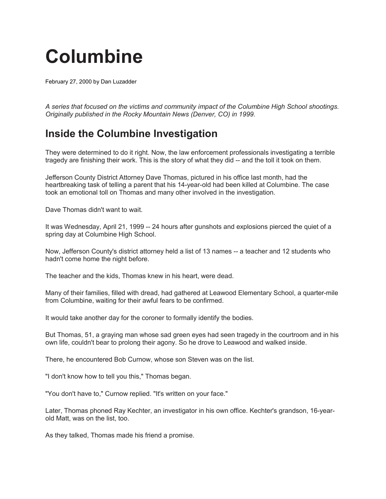## **Columbine**

February 27, 2000 by [Dan Luzadder](https://dartcenter.org/bio/dan-luzadder)

*A series that focused on the victims and community impact of the Columbine High School shootings. Originally published in the Rocky Mountain News (Denver, CO) in 1999.*

## **Inside the Columbine Investigation**

They were determined to do it right. Now, the law enforcement professionals investigating a terrible tragedy are finishing their work. This is the story of what they did -- and the toll it took on them.

Jefferson County District Attorney Dave Thomas, pictured in his office last month, had the heartbreaking task of telling a parent that his 14-year-old had been killed at Columbine. The case took an emotional toll on Thomas and many other involved in the investigation.

Dave Thomas didn't want to wait.

It was Wednesday, April 21, 1999 -- 24 hours after gunshots and explosions pierced the quiet of a spring day at Columbine High School.

Now, Jefferson County's district attorney held a list of 13 names -- a teacher and 12 students who hadn't come home the night before.

The teacher and the kids, Thomas knew in his heart, were dead.

Many of their families, filled with dread, had gathered at Leawood Elementary School, a quarter-mile from Columbine, waiting for their awful fears to be confirmed.

It would take another day for the coroner to formally identify the bodies.

But Thomas, 51, a graying man whose sad green eyes had seen tragedy in the courtroom and in his own life, couldn't bear to prolong their agony. So he drove to Leawood and walked inside.

There, he encountered Bob Curnow, whose son Steven was on the list.

"I don't know how to tell you this," Thomas began.

"You don't have to," Curnow replied. "It's written on your face."

Later, Thomas phoned Ray Kechter, an investigator in his own office. Kechter's grandson, 16-yearold Matt, was on the list, too.

As they talked, Thomas made his friend a promise.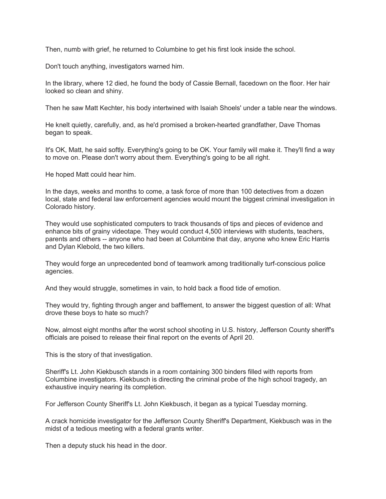Then, numb with grief, he returned to Columbine to get his first look inside the school.

Don't touch anything, investigators warned him.

In the library, where 12 died, he found the body of Cassie Bernall, facedown on the floor. Her hair looked so clean and shiny.

Then he saw Matt Kechter, his body intertwined with Isaiah Shoels' under a table near the windows.

He knelt quietly, carefully, and, as he'd promised a broken-hearted grandfather, Dave Thomas began to speak.

It's OK, Matt, he said softly. Everything's going to be OK. Your family will make it. They'll find a way to move on. Please don't worry about them. Everything's going to be all right.

He hoped Matt could hear him.

In the days, weeks and months to come, a task force of more than 100 detectives from a dozen local, state and federal law enforcement agencies would mount the biggest criminal investigation in Colorado history.

They would use sophisticated computers to track thousands of tips and pieces of evidence and enhance bits of grainy videotape. They would conduct 4,500 interviews with students, teachers, parents and others -- anyone who had been at Columbine that day, anyone who knew Eric Harris and Dylan Klebold, the two killers.

They would forge an unprecedented bond of teamwork among traditionally turf-conscious police agencies.

And they would struggle, sometimes in vain, to hold back a flood tide of emotion.

They would try, fighting through anger and bafflement, to answer the biggest question of all: What drove these boys to hate so much?

Now, almost eight months after the worst school shooting in U.S. history, Jefferson County sheriff's officials are poised to release their final report on the events of April 20.

This is the story of that investigation.

Sheriff's Lt. John Kiekbusch stands in a room containing 300 binders filled with reports from Columbine investigators. Kiekbusch is directing the criminal probe of the high school tragedy, an exhaustive inquiry nearing its completion.

For Jefferson County Sheriff's Lt. John Kiekbusch, it began as a typical Tuesday morning.

A crack homicide investigator for the Jefferson County Sheriff's Department, Kiekbusch was in the midst of a tedious meeting with a federal grants writer.

Then a deputy stuck his head in the door.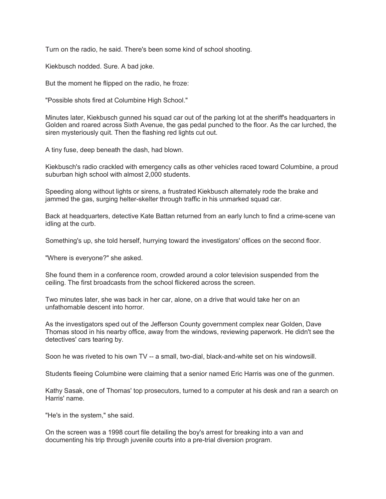Turn on the radio, he said. There's been some kind of school shooting.

Kiekbusch nodded. Sure. A bad joke.

But the moment he flipped on the radio, he froze:

"Possible shots fired at Columbine High School."

Minutes later, Kiekbusch gunned his squad car out of the parking lot at the sheriff's headquarters in Golden and roared across Sixth Avenue, the gas pedal punched to the floor. As the car lurched, the siren mysteriously quit. Then the flashing red lights cut out.

A tiny fuse, deep beneath the dash, had blown.

Kiekbusch's radio crackled with emergency calls as other vehicles raced toward Columbine, a proud suburban high school with almost 2,000 students.

Speeding along without lights or sirens, a frustrated Kiekbusch alternately rode the brake and jammed the gas, surging helter-skelter through traffic in his unmarked squad car.

Back at headquarters, detective Kate Battan returned from an early lunch to find a crime-scene van idling at the curb.

Something's up, she told herself, hurrying toward the investigators' offices on the second floor.

"Where is everyone?" she asked.

She found them in a conference room, crowded around a color television suspended from the ceiling. The first broadcasts from the school flickered across the screen.

Two minutes later, she was back in her car, alone, on a drive that would take her on an unfathomable descent into horror.

As the investigators sped out of the Jefferson County government complex near Golden, Dave Thomas stood in his nearby office, away from the windows, reviewing paperwork. He didn't see the detectives' cars tearing by.

Soon he was riveted to his own TV -- a small, two-dial, black-and-white set on his windowsill.

Students fleeing Columbine were claiming that a senior named Eric Harris was one of the gunmen.

Kathy Sasak, one of Thomas' top prosecutors, turned to a computer at his desk and ran a search on Harris' name.

"He's in the system," she said.

On the screen was a 1998 court file detailing the boy's arrest for breaking into a van and documenting his trip through juvenile courts into a pre-trial diversion program.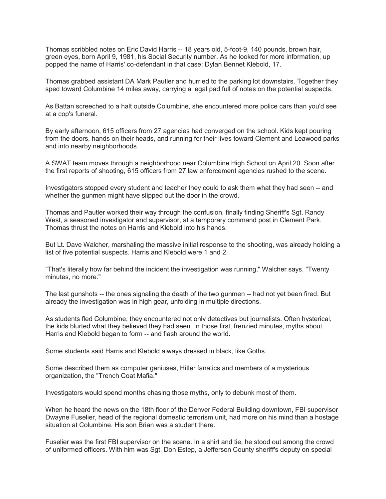Thomas scribbled notes on Eric David Harris -- 18 years old, 5-foot-9, 140 pounds, brown hair, green eyes, born April 9, 1981, his Social Security number. As he looked for more information, up popped the name of Harris' co-defendant in that case: Dylan Bennet Klebold, 17.

Thomas grabbed assistant DA Mark Pautler and hurried to the parking lot downstairs. Together they sped toward Columbine 14 miles away, carrying a legal pad full of notes on the potential suspects.

As Battan screeched to a halt outside Columbine, she encountered more police cars than you'd see at a cop's funeral.

By early afternoon, 615 officers from 27 agencies had converged on the school. Kids kept pouring from the doors, hands on their heads, and running for their lives toward Clement and Leawood parks and into nearby neighborhoods.

A SWAT team moves through a neighborhood near Columbine High School on April 20. Soon after the first reports of shooting, 615 officers from 27 law enforcement agencies rushed to the scene.

Investigators stopped every student and teacher they could to ask them what they had seen -- and whether the gunmen might have slipped out the door in the crowd.

Thomas and Pautler worked their way through the confusion, finally finding Sheriff's Sgt. Randy West, a seasoned investigator and supervisor, at a temporary command post in Clement Park. Thomas thrust the notes on Harris and Klebold into his hands.

But Lt. Dave Walcher, marshaling the massive initial response to the shooting, was already holding a list of five potential suspects. Harris and Klebold were 1 and 2.

"That's literally how far behind the incident the investigation was running," Walcher says. "Twenty minutes, no more."

The last gunshots -- the ones signaling the death of the two gunmen -- had not yet been fired. But already the investigation was in high gear, unfolding in multiple directions.

As students fled Columbine, they encountered not only detectives but journalists. Often hysterical, the kids blurted what they believed they had seen. In those first, frenzied minutes, myths about Harris and Klebold began to form -- and flash around the world.

Some students said Harris and Klebold always dressed in black, like Goths.

Some described them as computer geniuses, Hitler fanatics and members of a mysterious organization, the "Trench Coat Mafia."

Investigators would spend months chasing those myths, only to debunk most of them.

When he heard the news on the 18th floor of the Denver Federal Building downtown, FBI supervisor Dwayne Fuselier, head of the regional domestic terrorism unit, had more on his mind than a hostage situation at Columbine. His son Brian was a student there.

Fuselier was the first FBI supervisor on the scene. In a shirt and tie, he stood out among the crowd of uniformed officers. With him was Sgt. Don Estep, a Jefferson County sheriff's deputy on special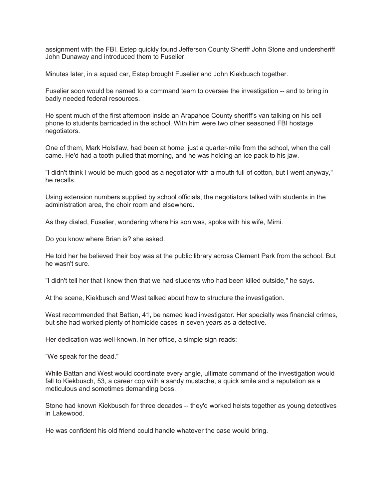assignment with the FBI. Estep quickly found Jefferson County Sheriff John Stone and undersheriff John Dunaway and introduced them to Fuselier.

Minutes later, in a squad car, Estep brought Fuselier and John Kiekbusch together.

Fuselier soon would be named to a command team to oversee the investigation -- and to bring in badly needed federal resources.

He spent much of the first afternoon inside an Arapahoe County sheriff's van talking on his cell phone to students barricaded in the school. With him were two other seasoned FBI hostage negotiators.

One of them, Mark Holstlaw, had been at home, just a quarter-mile from the school, when the call came. He'd had a tooth pulled that morning, and he was holding an ice pack to his jaw.

"I didn't think I would be much good as a negotiator with a mouth full of cotton, but I went anyway," he recalls.

Using extension numbers supplied by school officials, the negotiators talked with students in the administration area, the choir room and elsewhere.

As they dialed, Fuselier, wondering where his son was, spoke with his wife, Mimi.

Do you know where Brian is? she asked.

He told her he believed their boy was at the public library across Clement Park from the school. But he wasn't sure.

"I didn't tell her that I knew then that we had students who had been killed outside," he says.

At the scene, Kiekbusch and West talked about how to structure the investigation.

West recommended that Battan, 41, be named lead investigator. Her specialty was financial crimes, but she had worked plenty of homicide cases in seven years as a detective.

Her dedication was well-known. In her office, a simple sign reads:

"We speak for the dead."

While Battan and West would coordinate every angle, ultimate command of the investigation would fall to Kiekbusch, 53, a career cop with a sandy mustache, a quick smile and a reputation as a meticulous and sometimes demanding boss.

Stone had known Kiekbusch for three decades -- they'd worked heists together as young detectives in Lakewood.

He was confident his old friend could handle whatever the case would bring.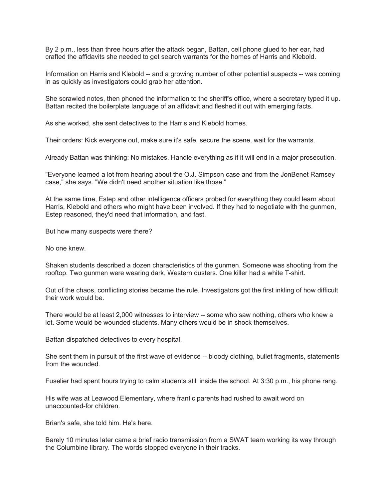By 2 p.m., less than three hours after the attack began, Battan, cell phone glued to her ear, had crafted the affidavits she needed to get search warrants for the homes of Harris and Klebold.

Information on Harris and Klebold -- and a growing number of other potential suspects -- was coming in as quickly as investigators could grab her attention.

She scrawled notes, then phoned the information to the sheriff's office, where a secretary typed it up. Battan recited the boilerplate language of an affidavit and fleshed it out with emerging facts.

As she worked, she sent detectives to the Harris and Klebold homes.

Their orders: Kick everyone out, make sure it's safe, secure the scene, wait for the warrants.

Already Battan was thinking: No mistakes. Handle everything as if it will end in a major prosecution.

"Everyone learned a lot from hearing about the O.J. Simpson case and from the JonBenet Ramsey case," she says. "We didn't need another situation like those."

At the same time, Estep and other intelligence officers probed for everything they could learn about Harris, Klebold and others who might have been involved. If they had to negotiate with the gunmen, Estep reasoned, they'd need that information, and fast.

But how many suspects were there?

No one knew.

Shaken students described a dozen characteristics of the gunmen. Someone was shooting from the rooftop. Two gunmen were wearing dark, Western dusters. One killer had a white T-shirt.

Out of the chaos, conflicting stories became the rule. Investigators got the first inkling of how difficult their work would be.

There would be at least 2,000 witnesses to interview -- some who saw nothing, others who knew a lot. Some would be wounded students. Many others would be in shock themselves.

Battan dispatched detectives to every hospital.

She sent them in pursuit of the first wave of evidence -- bloody clothing, bullet fragments, statements from the wounded.

Fuselier had spent hours trying to calm students still inside the school. At 3:30 p.m., his phone rang.

His wife was at Leawood Elementary, where frantic parents had rushed to await word on unaccounted-for children.

Brian's safe, she told him. He's here.

Barely 10 minutes later came a brief radio transmission from a SWAT team working its way through the Columbine library. The words stopped everyone in their tracks.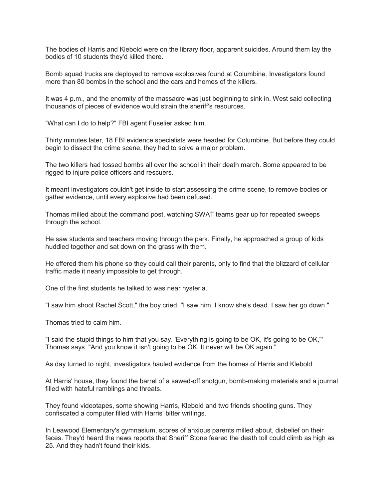The bodies of Harris and Klebold were on the library floor, apparent suicides. Around them lay the bodies of 10 students they'd killed there.

Bomb squad trucks are deployed to remove explosives found at Columbine. Investigators found more than 80 bombs in the school and the cars and homes of the killers.

It was 4 p.m., and the enormity of the massacre was just beginning to sink in. West said collecting thousands of pieces of evidence would strain the sheriff's resources.

"What can I do to help?" FBI agent Fuselier asked him.

Thirty minutes later, 18 FBI evidence specialists were headed for Columbine. But before they could begin to dissect the crime scene, they had to solve a major problem.

The two killers had tossed bombs all over the school in their death march. Some appeared to be rigged to injure police officers and rescuers.

It meant investigators couldn't get inside to start assessing the crime scene, to remove bodies or gather evidence, until every explosive had been defused.

Thomas milled about the command post, watching SWAT teams gear up for repeated sweeps through the school.

He saw students and teachers moving through the park. Finally, he approached a group of kids huddled together and sat down on the grass with them.

He offered them his phone so they could call their parents, only to find that the blizzard of cellular traffic made it nearly impossible to get through.

One of the first students he talked to was near hysteria.

"I saw him shoot Rachel Scott," the boy cried. "I saw him. I know she's dead. I saw her go down."

Thomas tried to calm him.

"I said the stupid things to him that you say. 'Everything is going to be OK, it's going to be OK,"' Thomas says. "And you know it isn't going to be OK. It never will be OK again."

As day turned to night, investigators hauled evidence from the homes of Harris and Klebold.

At Harris' house, they found the barrel of a sawed-off shotgun, bomb-making materials and a journal filled with hateful ramblings and threats.

They found videotapes, some showing Harris, Klebold and two friends shooting guns. They confiscated a computer filled with Harris' bitter writings.

In Leawood Elementary's gymnasium, scores of anxious parents milled about, disbelief on their faces. They'd heard the news reports that Sheriff Stone feared the death toll could climb as high as 25. And they hadn't found their kids.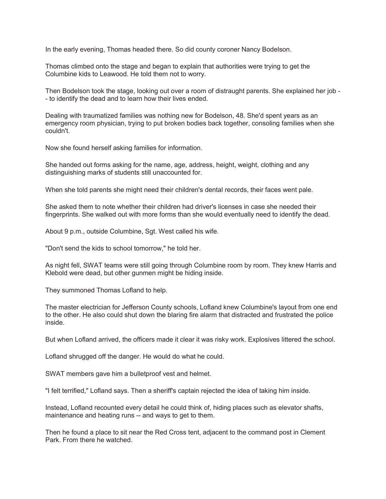In the early evening, Thomas headed there. So did county coroner Nancy Bodelson.

Thomas climbed onto the stage and began to explain that authorities were trying to get the Columbine kids to Leawood. He told them not to worry.

Then Bodelson took the stage, looking out over a room of distraught parents. She explained her job - - to identify the dead and to learn how their lives ended.

Dealing with traumatized families was nothing new for Bodelson, 48. She'd spent years as an emergency room physician, trying to put broken bodies back together, consoling families when she couldn't.

Now she found herself asking families for information.

She handed out forms asking for the name, age, address, height, weight, clothing and any distinguishing marks of students still unaccounted for.

When she told parents she might need their children's dental records, their faces went pale.

She asked them to note whether their children had driver's licenses in case she needed their fingerprints. She walked out with more forms than she would eventually need to identify the dead.

About 9 p.m., outside Columbine, Sgt. West called his wife.

"Don't send the kids to school tomorrow," he told her.

As night fell, SWAT teams were still going through Columbine room by room. They knew Harris and Klebold were dead, but other gunmen might be hiding inside.

They summoned Thomas Lofland to help.

The master electrician for Jefferson County schools, Lofland knew Columbine's layout from one end to the other. He also could shut down the blaring fire alarm that distracted and frustrated the police inside.

But when Lofland arrived, the officers made it clear it was risky work. Explosives littered the school.

Lofland shrugged off the danger. He would do what he could.

SWAT members gave him a bulletproof vest and helmet.

"I felt terrified," Lofland says. Then a sheriff's captain rejected the idea of taking him inside.

Instead, Lofland recounted every detail he could think of, hiding places such as elevator shafts, maintenance and heating runs -- and ways to get to them.

Then he found a place to sit near the Red Cross tent, adjacent to the command post in Clement Park. From there he watched.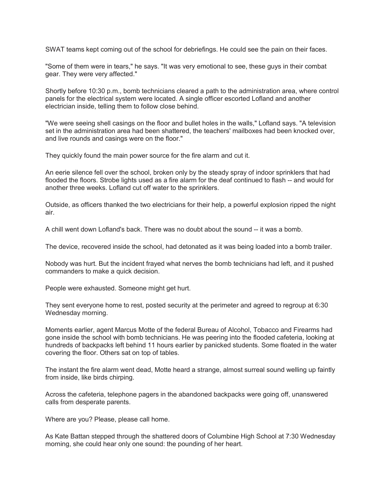SWAT teams kept coming out of the school for debriefings. He could see the pain on their faces.

"Some of them were in tears," he says. "It was very emotional to see, these guys in their combat gear. They were very affected."

Shortly before 10:30 p.m., bomb technicians cleared a path to the administration area, where control panels for the electrical system were located. A single officer escorted Lofland and another electrician inside, telling them to follow close behind.

"We were seeing shell casings on the floor and bullet holes in the walls," Lofland says. "A television set in the administration area had been shattered, the teachers' mailboxes had been knocked over, and live rounds and casings were on the floor."

They quickly found the main power source for the fire alarm and cut it.

An eerie silence fell over the school, broken only by the steady spray of indoor sprinklers that had flooded the floors. Strobe lights used as a fire alarm for the deaf continued to flash -- and would for another three weeks. Lofland cut off water to the sprinklers.

Outside, as officers thanked the two electricians for their help, a powerful explosion ripped the night air.

A chill went down Lofland's back. There was no doubt about the sound -- it was a bomb.

The device, recovered inside the school, had detonated as it was being loaded into a bomb trailer.

Nobody was hurt. But the incident frayed what nerves the bomb technicians had left, and it pushed commanders to make a quick decision.

People were exhausted. Someone might get hurt.

They sent everyone home to rest, posted security at the perimeter and agreed to regroup at 6:30 Wednesday morning.

Moments earlier, agent Marcus Motte of the federal Bureau of Alcohol, Tobacco and Firearms had gone inside the school with bomb technicians. He was peering into the flooded cafeteria, looking at hundreds of backpacks left behind 11 hours earlier by panicked students. Some floated in the water covering the floor. Others sat on top of tables.

The instant the fire alarm went dead, Motte heard a strange, almost surreal sound welling up faintly from inside, like birds chirping.

Across the cafeteria, telephone pagers in the abandoned backpacks were going off, unanswered calls from desperate parents.

Where are you? Please, please call home.

As Kate Battan stepped through the shattered doors of Columbine High School at 7:30 Wednesday morning, she could hear only one sound: the pounding of her heart.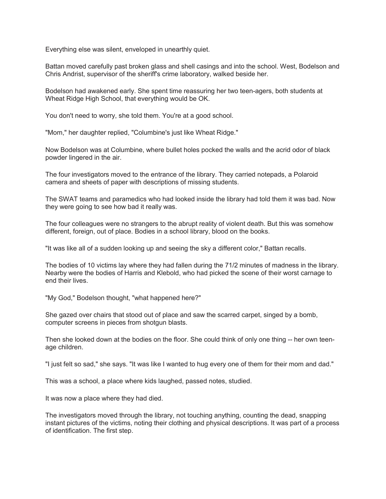Everything else was silent, enveloped in unearthly quiet.

Battan moved carefully past broken glass and shell casings and into the school. West, Bodelson and Chris Andrist, supervisor of the sheriff's crime laboratory, walked beside her.

Bodelson had awakened early. She spent time reassuring her two teen-agers, both students at Wheat Ridge High School, that everything would be OK.

You don't need to worry, she told them. You're at a good school.

"Mom," her daughter replied, "Columbine's just like Wheat Ridge."

Now Bodelson was at Columbine, where bullet holes pocked the walls and the acrid odor of black powder lingered in the air.

The four investigators moved to the entrance of the library. They carried notepads, a Polaroid camera and sheets of paper with descriptions of missing students.

The SWAT teams and paramedics who had looked inside the library had told them it was bad. Now they were going to see how bad it really was.

The four colleagues were no strangers to the abrupt reality of violent death. But this was somehow different, foreign, out of place. Bodies in a school library, blood on the books.

"It was like all of a sudden looking up and seeing the sky a different color," Battan recalls.

The bodies of 10 victims lay where they had fallen during the 71/2 minutes of madness in the library. Nearby were the bodies of Harris and Klebold, who had picked the scene of their worst carnage to end their lives.

"My God," Bodelson thought, "what happened here?"

She gazed over chairs that stood out of place and saw the scarred carpet, singed by a bomb, computer screens in pieces from shotgun blasts.

Then she looked down at the bodies on the floor. She could think of only one thing -- her own teenage children.

"I just felt so sad," she says. "It was like I wanted to hug every one of them for their mom and dad."

This was a school, a place where kids laughed, passed notes, studied.

It was now a place where they had died.

The investigators moved through the library, not touching anything, counting the dead, snapping instant pictures of the victims, noting their clothing and physical descriptions. It was part of a process of identification. The first step.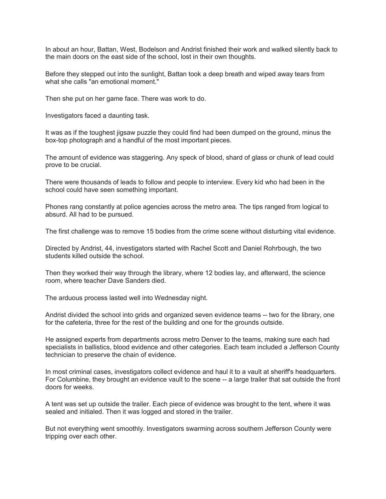In about an hour, Battan, West, Bodelson and Andrist finished their work and walked silently back to the main doors on the east side of the school, lost in their own thoughts.

Before they stepped out into the sunlight, Battan took a deep breath and wiped away tears from what she calls "an emotional moment."

Then she put on her game face. There was work to do.

Investigators faced a daunting task.

It was as if the toughest jigsaw puzzle they could find had been dumped on the ground, minus the box-top photograph and a handful of the most important pieces.

The amount of evidence was staggering. Any speck of blood, shard of glass or chunk of lead could prove to be crucial.

There were thousands of leads to follow and people to interview. Every kid who had been in the school could have seen something important.

Phones rang constantly at police agencies across the metro area. The tips ranged from logical to absurd. All had to be pursued.

The first challenge was to remove 15 bodies from the crime scene without disturbing vital evidence.

Directed by Andrist, 44, investigators started with Rachel Scott and Daniel Rohrbough, the two students killed outside the school.

Then they worked their way through the library, where 12 bodies lay, and afterward, the science room, where teacher Dave Sanders died.

The arduous process lasted well into Wednesday night.

Andrist divided the school into grids and organized seven evidence teams -- two for the library, one for the cafeteria, three for the rest of the building and one for the grounds outside.

He assigned experts from departments across metro Denver to the teams, making sure each had specialists in ballistics, blood evidence and other categories. Each team included a Jefferson County technician to preserve the chain of evidence.

In most criminal cases, investigators collect evidence and haul it to a vault at sheriff's headquarters. For Columbine, they brought an evidence vault to the scene -- a large trailer that sat outside the front doors for weeks.

A tent was set up outside the trailer. Each piece of evidence was brought to the tent, where it was sealed and initialed. Then it was logged and stored in the trailer.

But not everything went smoothly. Investigators swarming across southern Jefferson County were tripping over each other.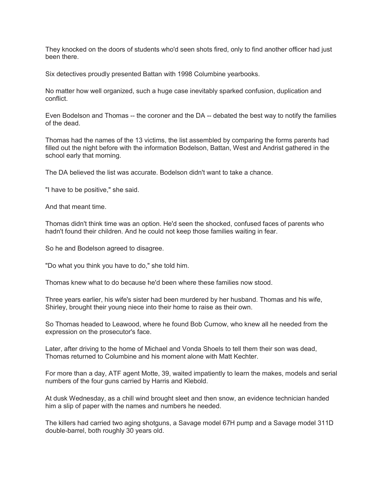They knocked on the doors of students who'd seen shots fired, only to find another officer had just been there.

Six detectives proudly presented Battan with 1998 Columbine yearbooks.

No matter how well organized, such a huge case inevitably sparked confusion, duplication and conflict.

Even Bodelson and Thomas -- the coroner and the DA -- debated the best way to notify the families of the dead.

Thomas had the names of the 13 victims, the list assembled by comparing the forms parents had filled out the night before with the information Bodelson, Battan, West and Andrist gathered in the school early that morning.

The DA believed the list was accurate. Bodelson didn't want to take a chance.

"I have to be positive," she said.

And that meant time.

Thomas didn't think time was an option. He'd seen the shocked, confused faces of parents who hadn't found their children. And he could not keep those families waiting in fear.

So he and Bodelson agreed to disagree.

"Do what you think you have to do," she told him.

Thomas knew what to do because he'd been where these families now stood.

Three years earlier, his wife's sister had been murdered by her husband. Thomas and his wife, Shirley, brought their young niece into their home to raise as their own.

So Thomas headed to Leawood, where he found Bob Curnow, who knew all he needed from the expression on the prosecutor's face.

Later, after driving to the home of Michael and Vonda Shoels to tell them their son was dead, Thomas returned to Columbine and his moment alone with Matt Kechter.

For more than a day, ATF agent Motte, 39, waited impatiently to learn the makes, models and serial numbers of the four guns carried by Harris and Klebold.

At dusk Wednesday, as a chill wind brought sleet and then snow, an evidence technician handed him a slip of paper with the names and numbers he needed.

The killers had carried two aging shotguns, a Savage model 67H pump and a Savage model 311D double-barrel, both roughly 30 years old.